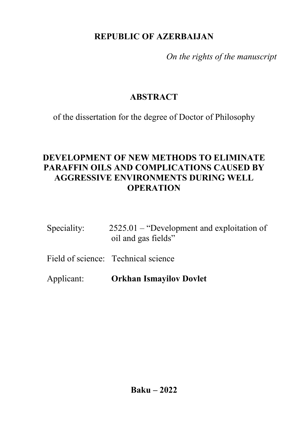# **REPUBLIC OF AZERBAIJAN**

*On the rights of the manuscript*

# **ABSTRACT**

of the dissertation for the degree of Doctor of Philosophy

# **DEVELOPMENT OF NEW METHODS TO ELIMINATE PARAFFIN OILS AND COMPLICATIONS CAUSED BY AGGRESSIVE ENVIRONMENTS DURING WELL OPERATION**

| Speciality: | $2525.01$ – "Development and exploitation of |
|-------------|----------------------------------------------|
|             | oil and gas fields"                          |
|             |                                              |

Field of science: Technical science

Applicant: **Orkhan Ismayilov Dovlet**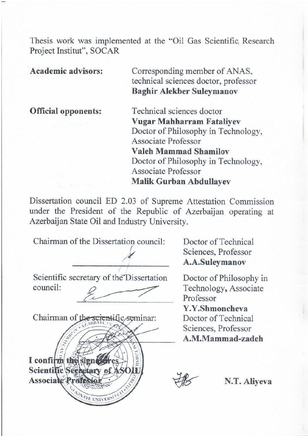Thesis work was implemented at the "Oil Gas Scientific Research Project Institut", SOCAR

**Academic advisors:** Corresponding member of ANAS, technical sciences doctor, professor **Baghir Alekber Suleymanov**

**Official opponents:** Technical sciences doctor **Vugar Mahharram Fataliyev** Doctor of Philosophy in Technology, Associate Professor **Valeh Mammad Shamilov** Doctor of Philosophy in Technology, Associate Professor **Malik Gurban Abdullayev**

Dissertation council ED 2.03 of Supreme Attestation Commission under the President of the Republic of Azerbaijan operating at Azerbaijan State Oil and Industry University.

Chairman of the Dissertation council:

 $\overline{\phantom{a}}$ 

Scientific secretary of the Dissertation council:  $\frac{1}{2}$ 



Doctor of Technical Sciences, Professor **A.A.Suleymanov**

Doctor of Philosophy in Technology**,** Associate Professor

**Y.Y.Shmoncheva** Doctor of Technical Sciences, Professor **A.M.Mammad-zadeh**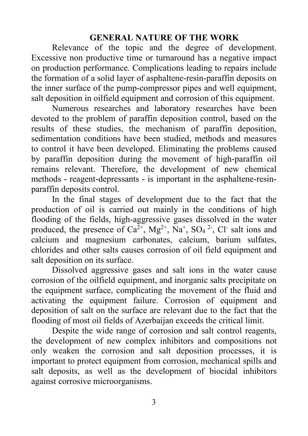### **GENERAL NATURE OF THE WORK**

Relevance of the topic and the degree of development. Excessive non productive time or turnaround has a negative impact on production performance. Complications leading to repairs include the formation of a solid layer of asphaltene-resin-paraffin deposits on the inner surface of the pump-compressor pipes and well equipment, salt deposition in oilfield equipment and corrosion of this equipment.

Numerous researches and laboratory researches have been devoted to the problem of paraffin deposition control, based on the results of these studies, the mechanism of paraffin deposition, sedimentation conditions have been studied, methods and measures to control it have been developed. Eliminating the problems caused by paraffin deposition during the movement of high-paraffin oil remains relevant. Therefore, the development of new chemical methods - reagent-depressants - is important in the asphaltene-resinparaffin deposits control.

In the final stages of development due to the fact that the production of oil is carried out mainly in the conditions of high flooding of the fields, high-aggressive gases dissolved in the water produced, the presence of  $Ca^{2+}$ ,  $Mg^{2+}$ ,  $Na^{+}$ ,  $SO<sub>4</sub>$ <sup>2</sup>, Cl<sup>-</sup> salt ions and calcium and magnesium carbonates, calcium, barium sulfates, chlorides and other salts causes corrosion of oil field equipment and salt deposition on its surface.

Dissolved aggressive gases and salt ions in the water cause corrosion of the oilfield equipment, and inorganic salts precipitate on the equipment surface, complicating the movement of the fluid and activating the equipment failure. Corrosion of equipment and deposition of salt on the surface are relevant due to the fact that the flooding of most oil fields of Azerbaijan exceeds the critical limit.

Despite the wide range of corrosion and salt control reagents, the development of new complex inhibitors and compositions not only weaken the corrosion and salt deposition processes, it is important to protect equipment from corrosion, mechanical spills and salt deposits, as well as the development of biocidal inhibitors against corrosive microorganisms.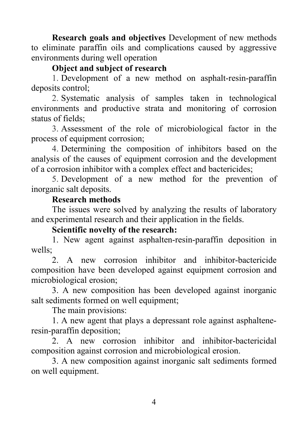**Research goals and objectives** Development of new methods to eliminate paraffin oils and complications caused by aggressive environments during well operation

## **Object and subject of research**

1. Development of a new method on asphalt-resin-paraffin deposits control;

2. Systematic analysis of samples taken in technological environments and productive strata and monitoring of corrosion status of fields;

3. Assessment of the role of microbiological factor in the process of equipment corrosion;

4. Determining the composition of inhibitors based on the analysis of the causes of equipment corrosion and the development of a corrosion inhibitor with a complex effect and bactericides;

5. Development of a new method for the prevention of inorganic salt deposits.

### **Research methods**

The issues were solved by analyzing the results of laboratory and experimental research and their application in the fields.

#### **Scientific novelty of the research:**

1. New agent against asphalten-resin-paraffin deposition in wells;

2. A new corrosion inhibitor and inhibitor-bactericide composition have been developed against equipment corrosion and microbiological erosion;

3. A new composition has been developed against inorganic salt sediments formed on well equipment;

The main provisions:

1. A new agent that plays a depressant role against asphalteneresin-paraffin deposition;

2. A new corrosion inhibitor and inhibitor-bactericidal composition against corrosion and microbiological erosion.

3. A new composition against inorganic salt sediments formed on well equipment.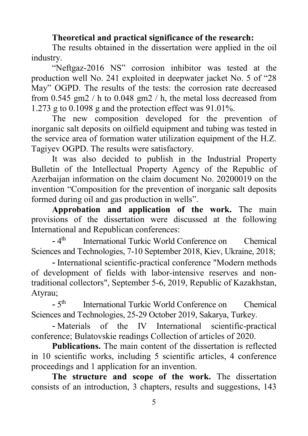## **Theoretical and practical significance of the research:**

The results obtained in the dissertation were applied in the oil industry.

"Neftgaz-2016 NS" corrosion inhibitor was tested at the production well No. 241 exploited in deepwater jacket No. 5 of "28 May" OGPD. The results of the tests: the corrosion rate decreased from 0.545 gm2 / h to 0.048 gm2 / h, the metal loss decreased from 1.273 g to  $0.1098$  g and the protection effect was  $91.01\%$ .

The new composition developed for the prevention of inorganic salt deposits on oilfield equipment and tubing was tested in the service area of formation water utilization equipment of the H.Z. Tagiyev OGPD. The results were satisfactory.

It was also decided to publish in the Industrial Property Bulletin of the Intellectual Property Agency of the Republic of Azerbaijan information on the claim document No. 20200019 on the invention "Composition for the prevention of inorganic salt deposits formed during oil and gas production in wells".

**Approbation and application of the work.** The main provisions of the dissertation were discussed at the following International and Republican conferences:

 $-4<sup>th</sup>$  International Turkic World Conference on Chemical Sciences and Technologies, 7-10 September 2018, Kiev, Ukraine, 2018;

- International scientific-practical conference "Modern methods of development of fields with labor-intensive reserves and nontraditional collectors", September 5-6, 2019, Republic of Kazakhstan, Atyrau;

- 5th International Turkic World Conference on Chemical Sciences and Technologies, 25-29 October 2019, Sakarya, Turkey.

- Materials of the IV International scientific-practical conference; Bulatovskie readings Collection of articles of 2020.

**Publications.** The main content of the dissertation is reflected in 10 scientific works, including 5 scientific articles, 4 conference proceedings and 1 application for an invention.

**The structure and scope of the work.** The dissertation consists of an introduction, 3 chapters, results and suggestions, 143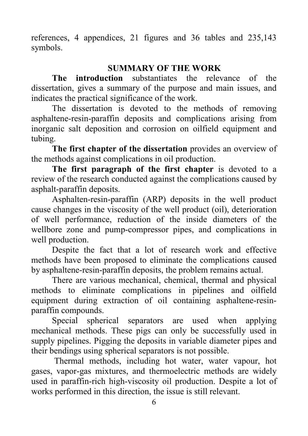references, 4 appendices, 21 figures and 36 tables and 235,143 symbols.

# **SUMMARY OF THE WORK**

**The introduction** substantiates the relevance of the dissertation, gives a summary of the purpose and main issues, and indicates the practical significance of the work.

The dissertation is devoted to the methods of removing asphaltene-resin-paraffin deposits and complications arising from inorganic salt deposition and corrosion on oilfield equipment and tubing.

**The first chapter of the dissertation** provides an overview of the methods against complications in oil production.

**The first paragraph of the first chapter** is devoted to a review of the research conducted against the complications caused by asphalt-paraffin deposits.

Asphalten-resin-paraffin (ARP) deposits in the well product cause changes in the viscosity of the well product (oil), deterioration of well performance, reduction of the inside diameters of the wellbore zone and pump-compressor pipes, and complications in well production.

Despite the fact that a lot of research work and effective methods have been proposed to eliminate the complications caused by asphaltene-resin-paraffin deposits, the problem remains actual.

There are various mechanical, chemical, thermal and physical methods to eliminate complications in pipelines and oilfield equipment during extraction of oil containing asphaltene-resinparaffin compounds.

Special spherical separators are used when applying mechanical methods. These pigs can only be successfully used in supply pipelines. Pigging the deposits in variable diameter pipes and their bendings using spherical separators is not possible.

Thermal methods, including hot water, water vapour, hot gases, vapor-gas mixtures, and thermoelectric methods are widely used in paraffin-rich high-viscosity oil production. Despite a lot of works performed in this direction, the issue is still relevant.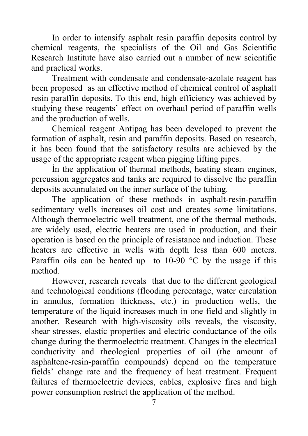In order to intensify asphalt resin paraffin deposits control by chemical reagents, the specialists of the Oil and Gas Scientific Research Institute have also carried out a number of new scientific and practical works.

Treatment with condensate and condensate-azolate reagent has been proposed as an effective method of chemical control of asphalt resin paraffin deposits. To this end, high efficiency was achieved by studying these reagents' effect on overhaul period of paraffin wells and the production of wells.

Chemical reagent Antipag has been developed to prevent the formation of asphalt, resin and paraffin deposits. Based on research, it has been found that the satisfactory results are achieved by the usage of the appropriate reagent when pigging lifting pipes.

İn the application of thermal methods, heating steam engines, percussion aggregates and tanks are required to dissolve the paraffin deposits accumulated on the inner surface of the tubing.

The application of these methods in asphalt-resin-paraffin sedimentary wells increases oil cost and creates some limitations. Although thermoelectric well treatment, one of the thermal methods, are widely used, electric heaters are used in production, and their operation is based on the principle of resistance and induction. These heaters are effective in wells with depth less than 600 meters. Paraffin oils can be heated up to 10-90  $\degree$ C by the usage if this method.

However, research reveals that due to the different geological and technological conditions (flooding percentage, water circulation in annulus, formation thickness, etc.) in production wells, the temperature of the liquid increases much in one field and slightly in another. Research with high-viscosity oils reveals, the viscosity, shear stresses, elastic properties and electric conductance of the oils change during the thermoelectric treatment. Changes in the electrical conductivity and rheological properties of oil (the amount of asphaltene-resin-paraffin compounds) depend on the temperature fields' change rate and the frequency of heat treatment. Frequent failures of thermoelectric devices, cables, explosive fires and high power consumption restrict the application of the method.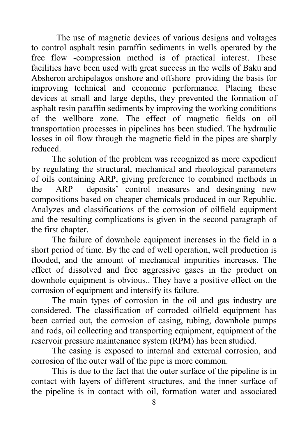The use of magnetic devices of various designs and voltages to control asphalt resin paraffin sediments in wells operated by the free flow -compression method is of practical interest. These facilities have been used with great success in the wells of Baku and Absheron archipelagos onshore and offshore providing the basis for improving technical and economic performance. Placing these devices at small and large depths, they prevented the formation of asphalt resin paraffin sediments by improving the working conditions of the wellbore zone. The effect of magnetic fields on oil transportation processes in pipelines has been studied. The hydraulic losses in oil flow through the magnetic field in the pipes are sharply reduced.

The solution of the problem was recognized as more expedient by regulating the structural, mechanical and rheological parameters of oils containing ARP, giving preference to combined methods in the ARP deposits' control measures and desingning new compositions based on cheaper chemicals produced in our Republic. Analyzes and classifications of the corrosion of oilfield equipment and the resulting complications is given in the second paragraph of the first chapter.

The failure of downhole equipment increases in the field in a short period of time. By the end of well operation, well production is flooded, and the amount of mechanical impurities increases. The effect of dissolved and free aggressive gases in the product on downhole equipment is obvious.. They have a positive effect on the corrosion of equipment and intensify its failure.

The main types of corrosion in the oil and gas industry are considered. The classification of corroded oilfield equipment has been carried out, the corrosion of casing, tubing, downhole pumps and rods, oil collecting and transporting equipment, equipment of the reservoir pressure maintenance system (RPM) has been studied.

The casing is exposed to internal and external corrosion, and corrosion of the outer wall of the pipe is more common.

This is due to the fact that the outer surface of the pipeline is in contact with layers of different structures, and the inner surface of the pipeline is in contact with oil, formation water and associated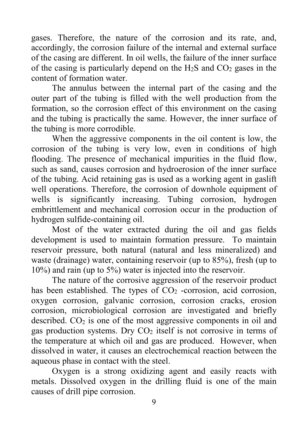gases. Therefore, the nature of the corrosion and its rate, and, accordingly, the corrosion failure of the internal and external surface of the casing are different. In oil wells, the failure of the inner surface of the casing is particularly depend on the  $H_2S$  and  $CO_2$  gases in the content of formation water.

The annulus between the internal part of the casing and the outer part of the tubing is filled with the well production from the formation, so the corrosion effect of this environment on the casing and the tubing is practically the same. However, the inner surface of the tubing is more corrodible.

When the aggressive components in the oil content is low, the corrosion of the tubing is very low, even in conditions of high flooding. The presence of mechanical impurities in the fluid flow, such as sand, causes corrosion and hydroerosion of the inner surface of the tubing. Acid retaining gas is used as a working agent in gaslift well operations. Therefore, the corrosion of downhole equipment of wells is significantly increasing. Tubing corrosion, hydrogen embrittlement and mechanical corrosion occur in the production of hydrogen sulfide-containing oil.

Most of the water extracted during the oil and gas fields development is used to maintain formation pressure. To maintain reservoir pressure, both natural (natural and less mineralized) and waste (drainage) water, containing reservoir (up to 85%), fresh (up to 10%) and rain (up to 5%) water is injected into the reservoir.

The nature of the corrosive aggression of the reservoir product has been established. The types of  $CO<sub>2</sub>$  -corrosion, acid corrosion, oxygen corrosion, galvanic corrosion, corrosion cracks, erosion corrosion, microbiological corrosion are investigated and briefly described.  $CO<sub>2</sub>$  is one of the most aggressive components in oil and gas production systems. Dry  $CO<sub>2</sub>$  itself is not corrosive in terms of the temperature at which oil and gas are produced. However, when dissolved in water, it causes an electrochemical reaction between the aqueous phase in contact with the steel.

Oxygen is a strong oxidizing agent and easily reacts with metals. Dissolved oxygen in the drilling fluid is one of the main causes of drill pipe corrosion.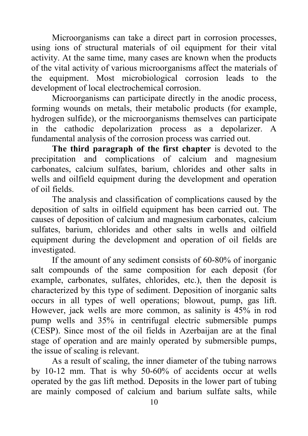Microorganisms can take a direct part in corrosion processes, using ions of structural materials of oil equipment for their vital activity. At the same time, many cases are known when the products of the vital activity of various microorganisms affect the materials of the equipment. Most microbiological corrosion leads to the development of local electrochemical corrosion.

Microorganisms can participate directly in the anodic process, forming wounds on metals, their metabolic products (for example, hydrogen sulfide), or the microorganisms themselves can participate in the cathodic depolarization process as a depolarizer. A fundamental analysis of the corrosion process was carried out.

**The third paragraph of the first chapter** is devoted to the precipitation and complications of calcium and magnesium carbonates, calcium sulfates, barium, chlorides and other salts in wells and oilfield equipment during the development and operation of oil fields.

The analysis and classification of complications caused by the deposition of salts in oilfield equipment has been carried out. The causes of deposition of calcium and magnesium carbonates, calcium sulfates, barium, chlorides and other salts in wells and oilfield equipment during the development and operation of oil fields are investigated.

If the amount of any sediment consists of 60-80% of inorganic salt compounds of the same composition for each deposit (for example, carbonates, sulfates, chlorides, etc.), then the deposit is characterized by this type of sediment. Deposition of inorganic salts occurs in all types of well operations; blowout, pump, gas lift. However, jack wells are more common, as salinity is 45% in rod pump wells and 35% in centrifugal electric submersible pumps (CESP). Since most of the oil fields in Azerbaijan are at the final stage of operation and are mainly operated by submersible pumps, the issue of scaling is relevant.

As a result of scaling, the inner diameter of the tubing narrows by 10-12 mm. That is why 50-60% of accidents occur at wells operated by the gas lift method. Deposits in the lower part of tubing are mainly composed of calcium and barium sulfate salts, while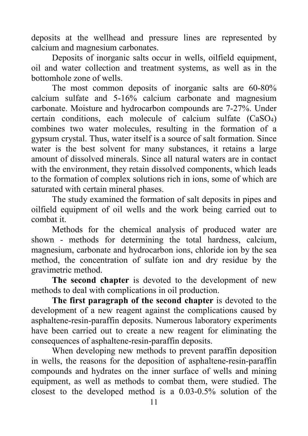deposits at the wellhead and pressure lines are represented by calcium and magnesium carbonates.

Deposits of inorganic salts occur in wells, oilfield equipment, oil and water collection and treatment systems, as well as in the bottomhole zone of wells.

The most common deposits of inorganic salts are 60-80% calcium sulfate and 5-16% calcium carbonate and magnesium carbonate. Moisture and hydrocarbon compounds are 7-27%. Under certain conditions, each molecule of calcium sulfate (CaSO4) combines two water molecules, resulting in the formation of a gypsum crystal. Thus, water itself is a source of salt formation. Since water is the best solvent for many substances, it retains a large amount of dissolved minerals. Since all natural waters are in contact with the environment, they retain dissolved components, which leads to the formation of complex solutions rich in ions, some of which are saturated with certain mineral phases.

The study examined the formation of salt deposits in pipes and oilfield equipment of oil wells and the work being carried out to combat it.

Methods for the chemical analysis of produced water are shown - methods for determining the total hardness, calcium, magnesium, carbonate and hydrocarbon ions, chloride ion by the sea method, the concentration of sulfate ion and dry residue by the gravimetric method.

**The second chapter** is devoted to the development of new methods to deal with complications in oil production.

**The first paragraph of the second chapter** is devoted to the development of a new reagent against the complications caused by asphaltene-resin-paraffin deposits. Numerous laboratory experiments have been carried out to create a new reagent for eliminating the consequences of asphaltene-resin-paraffin deposits.

When developing new methods to prevent paraffin deposition in wells, the reasons for the deposition of asphaltene-resin-paraffin compounds and hydrates on the inner surface of wells and mining equipment, as well as methods to combat them, were studied. The closest to the developed method is a 0.03-0.5% solution of the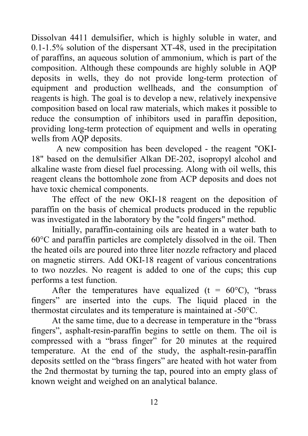Dissolvan 4411 demulsifier, which is highly soluble in water, and 0.1-1.5% solution of the dispersant XT-48, used in the precipitation of paraffins, an aqueous solution of ammonium, which is part of the composition. Although these compounds are highly soluble in AQP deposits in wells, they do not provide long-term protection of equipment and production wellheads, and the consumption of reagents is high. The goal is to develop a new, relatively inexpensive composition based on local raw materials, which makes it possible to reduce the consumption of inhibitors used in paraffin deposition, providing long-term protection of equipment and wells in operating wells from AQP deposits.

 A new composition has been developed - the reagent "OKI-18" based on the demulsifier Alkan DE-202, isopropyl alcohol and alkaline waste from diesel fuel processing. Along with oil wells, this reagent cleans the bottomhole zone from ACP deposits and does not have toxic chemical components.

The effect of the new OKI-18 reagent on the deposition of paraffin on the basis of chemical products produced in the republic was investigated in the laboratory by the "cold fingers" method.

Initially, paraffin-containing oils are heated in a water bath to 60°C and paraffin particles are completely dissolved in the oil. Then the heated oils are poured into three liter nozzle refractory and placed on magnetic stirrers. Add OKI-18 reagent of various concentrations to two nozzles. No reagent is added to one of the cups; this cup performs a test function.

After the temperatures have equalized (t =  $60^{\circ}$ C), "brass" fingers" are inserted into the cups. The liquid placed in the thermostat circulates and its temperature is maintained at -50°C.

At the same time, due to a decrease in temperature in the "brass fingers", asphalt-resin-paraffin begins to settle on them. The oil is compressed with a "brass finger" for 20 minutes at the required temperature. At the end of the study, the asphalt-resin-paraffin deposits settled on the "brass fingers" are heated with hot water from the 2nd thermostat by turning the tap, poured into an empty glass of known weight and weighed on an analytical balance.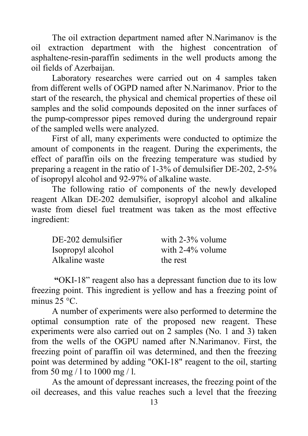The oil extraction department named after N.Narimanov is the oil extraction department with the highest concentration of asphaltene-resin-paraffin sediments in the well products among the oil fields of Azerbaijan.

Laboratory researches were carried out on 4 samples taken from different wells of OGPD named after N.Narimanov. Prior to the start of the research, the physical and chemical properties of these oil samples and the solid compounds deposited on the inner surfaces of the pump-compressor pipes removed during the underground repair of the sampled wells were analyzed.

First of all, many experiments were conducted to optimize the amount of components in the reagent. During the experiments, the effect of paraffin oils on the freezing temperature was studied by preparing a reagent in the ratio of 1-3% of demulsifier DE-202, 2-5% of isopropyl alcohol and 92-97% of alkaline waste.

The following ratio of components of the newly developed reagent Alkan DE-202 demulsifier, isopropyl alcohol and alkaline waste from diesel fuel treatment was taken as the most effective ingredient:

| DE-202 demulsifier | with $2-3\%$ volume |
|--------------------|---------------------|
| Isopropyl alcohol  | with $2-4\%$ volume |
| Alkaline waste     | the rest            |

**"**OKI-18" reagent also has a depressant function due to its low freezing point. This ingredient is yellow and has a freezing point of minus  $25 \,^{\circ}C$ .

A number of experiments were also performed to determine the optimal consumption rate of the proposed new reagent. These experiments were also carried out on 2 samples (No. 1 and 3) taken from the wells of the OGPU named after N.Narimanov. First, the freezing point of paraffin oil was determined, and then the freezing point was determined by adding "OKI-18" reagent to the oil, starting from 50 mg / l to 1000 mg / l.

As the amount of depressant increases, the freezing point of the oil decreases, and this value reaches such a level that the freezing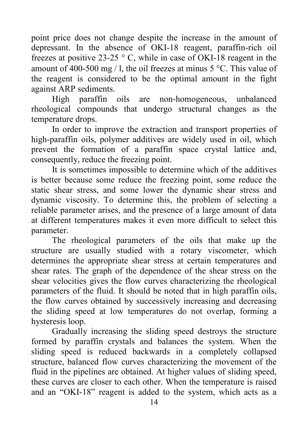point price does not change despite the increase in the amount of depressant. In the absence of OKI-18 reagent, paraffin-rich oil freezes at positive 23-25  $\degree$  C, while in case of OKI-18 reagent in the amount of 400-500 mg / l, the oil freezes at minus  $5^{\circ}$ C. This value of the reagent is considered to be the optimal amount in the fight against ARP sediments.

High paraffin oils are non-homogeneous, unbalanced rheological compounds that undergo structural changes as the temperature drops.

In order to improve the extraction and transport properties of high-paraffin oils, polymer additives are widely used in oil, which prevent the formation of a paraffin space crystal lattice and, consequently, reduce the freezing point.

It is sometimes impossible to determine which of the additives is better because some reduce the freezing point, some reduce the static shear stress, and some lower the dynamic shear stress and dynamic viscosity. To determine this, the problem of selecting a reliable parameter arises, and the presence of a large amount of data at different temperatures makes it even more difficult to select this parameter.

The rheological parameters of the oils that make up the structure are usually studied with a rotary viscometer, which determines the appropriate shear stress at certain temperatures and shear rates. The graph of the dependence of the shear stress on the shear velocities gives the flow curves characterizing the rheological parameters of the fluid. It should be noted that in high paraffin oils, the flow curves obtained by successively increasing and decreasing the sliding speed at low temperatures do not overlap, forming a hysteresis loop.

Gradually increasing the sliding speed destroys the structure formed by paraffin crystals and balances the system. When the sliding speed is reduced backwards in a completely collapsed structure, balanced flow curves characterizing the movement of the fluid in the pipelines are obtained. At higher values of sliding speed, these curves are closer to each other. When the temperature is raised and an "OKI-18" reagent is added to the system, which acts as a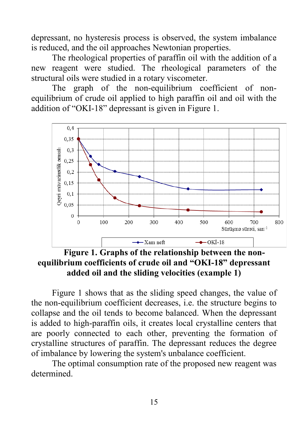depressant, no hysteresis process is observed, the system imbalance is reduced, and the oil approaches Newtonian properties.

The rheological properties of paraffin oil with the addition of a new reagent were studied. The rheological parameters of the structural oils were studied in a rotary viscometer.

The graph of the non-equilibrium coefficient of nonequilibrium of crude oil applied to high paraffin oil and oil with the addition of "OKI-18" depressant is given in Figure 1.



**Figure 1. Graphs of the relationship between the nonequilibrium coefficients of crude oil and "OKI-18" depressant added oil and the sliding velocities (example 1)**

Figure 1 shows that as the sliding speed changes, the value of the non-equilibrium coefficient decreases, i.e. the structure begins to collapse and the oil tends to become balanced. When the depressant is added to high-paraffin oils, it creates local crystalline centers that are poorly connected to each other, preventing the formation of crystalline structures of paraffin. The depressant reduces the degree of imbalance by lowering the system's unbalance coefficient.

The optimal consumption rate of the proposed new reagent was determined.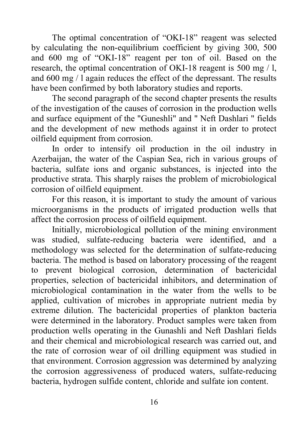The optimal concentration of "OKI-18" reagent was selected by calculating the non-equilibrium coefficient by giving 300, 500 and 600 mg of "OKI-18" reagent per ton of oil. Based on the research, the optimal concentration of OKI-18 reagent is 500 mg / l, and 600 mg / l again reduces the effect of the depressant. The results have been confirmed by both laboratory studies and reports.

The second paragraph of the second chapter presents the results of the investigation of the causes of corrosion in the production wells and surface equipment of the "Guneshli" and " Neft Dashlari " fields and the development of new methods against it in order to protect oilfield equipment from corrosion.

In order to intensify oil production in the oil industry in Azerbaijan, the water of the Caspian Sea, rich in various groups of bacteria, sulfate ions and organic substances, is injected into the productive strata. This sharply raises the problem of microbiological corrosion of oilfield equipment.

For this reason, it is important to study the amount of various microorganisms in the products of irrigated production wells that affect the corrosion process of oilfield equipment.

Initially, microbiological pollution of the mining environment was studied, sulfate-reducing bacteria were identified, and a methodology was selected for the determination of sulfate-reducing bacteria. The method is based on laboratory processing of the reagent to prevent biological corrosion, determination of bactericidal properties, selection of bactericidal inhibitors, and determination of microbiological contamination in the water from the wells to be applied, cultivation of microbes in appropriate nutrient media by extreme dilution. The bactericidal properties of plankton bacteria were determined in the laboratory. Product samples were taken from production wells operating in the Gunashli and Neft Dashlari fields and their chemical and microbiological research was carried out, and the rate of corrosion wear of oil drilling equipment was studied in that environment. Corrosion aggression was determined by analyzing the corrosion aggressiveness of produced waters, sulfate-reducing bacteria, hydrogen sulfide content, chloride and sulfate ion content.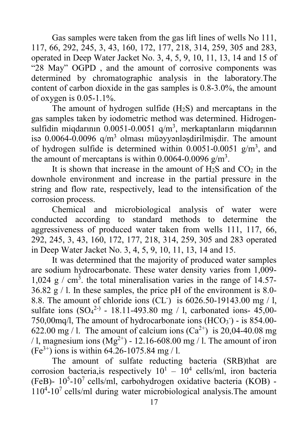Gas samples were taken from the gas lift lines of wells No 111, 117, 66, 292, 245, 3, 43, 160, 172, 177, 218, 314, 259, 305 and 283, operated in Deep Water Jacket No. 3, 4, 5, 9, 10, 11, 13, 14 and 15 of "28 May" OGPD , and the amount of corrosive components was determined by chromatographic analysis in the laboratory.The content of carbon dioxide in the gas samples is 0.8-3.0%, the amount of oxygen is 0.05-1.1%.

The amount of hydrogen sulfide  $(H<sub>2</sub>S)$  and mercaptans in the gas samples taken by iodometric method was determined. Hidrogensulfidin miqdarının 0.0051-0.0051 q/m<sup>3</sup>, merkaptanların miqdarının isə  $0.0064 - 0.0096$  q/m<sup>3</sup> olması müəyyənləşdirilmişdir. The amount of hydrogen sulfide is determined within  $0.0051 - 0.0051$  g/m<sup>3</sup>, and the amount of mercaptans is within 0.0064-0.0096  $g/m<sup>3</sup>$ .

It is shown that increase in the amount of  $H_2S$  and  $CO_2$  in the downhole environment and increase in the partial pressure in the string and flow rate, respectively, lead to the intensification of the corrosion process.

Chemical and microbiological analysis of water were conducted according to standard methods to determine the aggressiveness of produced water taken from wells 111, 117, 66, 292, 245, 3, 43, 160, 172, 177, 218, 314, 259, 305 and 283 operated in Deep Water Jacket No. 3, 4, 5, 9, 10, 11, 13, 14 and 15.

It was determined that the majority of produced water samples are sodium hydrocarbonate. These water density varies from 1,009- 1,024 g  $/$  cm<sup>3</sup>. the total mineralisation varies in the range of 14.57- $36.82$  g  $/$  l. In these samples, the price pH of the environment is 8.0-8.8. The amount of chloride ions (CL- ) is 6026.50-19143.00 mg / l, sulfate ions  $(SO_4^{2-})$  - 18.11-493.80 mg / 1, carbonated ions- 45,00-750,00mq/l, The amount of hydrocarbonate ions  $(HCO<sub>3</sub>)$  - is 854.00-622.00 mg / 1. The amount of calcium ions  $(Ca^{2+})$  is 20.04-40.08 mg / l, magnesium ions  $(Mg^{2+})$  - 12.16-608.00 mg / l. The amount of iron  $(Fe^{3+})$  ions is within 64.26-1075.84 mg / 1.

The amount of sulfate reducting bacteria (SRB)that are corrosion bacteria, is respectively  $10^1 - 10^4$  cells/ml, iron bacteria (FeB)- 10<sup>5</sup>-10<sup>7</sup> cells/ml, carbohydrogen oxidative bacteria (KOB) -110<sup>4</sup>-10<sup>7</sup> cells/ml during water microbiological analysis. The amount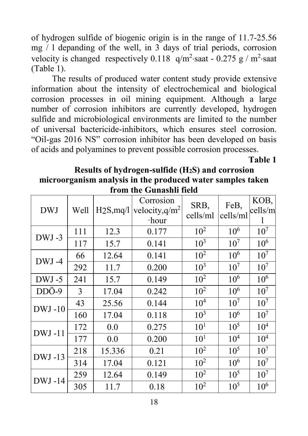of hydrogen sulfide of biogenic origin is in the range of 11.7-25.56 mg / l depanding of the well, in 3 days of trial periods, corrosion velocity is changed respectively  $0.118$  q/m<sup>2</sup>·saat -  $0.275$  g / m<sup>2</sup>·saat (Table 1).

The results of produced water content study provide extensive information about the intensity of electrochemical and biological corrosion processes in oil mining equipment. Although a large number of corrosion inhibitors are currently developed, hydrogen sulfide and microbiological environments are limited to the number of universal bactericide-inhibitors, which ensures steel corrosion. "Oil-gas 2016 NS" corrosion inhibitor has been developed on basis of acids and polyamines to prevent possible corrosion processes.

**Table 1** 

#### **Results of hydrogen-sulfide (H2S) and corrosion microorganism analysis in the produced water samples taken from the Gunashli field**

| <b>DWJ</b>    | Well | $H_2S$ , mq/l | Corrosion<br>velocity, $q/m^2$<br>$\cdot$ hour | SRB,<br>cells/ml | FeB,<br>cells/ml | KOB,<br>cells/m |
|---------------|------|---------------|------------------------------------------------|------------------|------------------|-----------------|
| DWJ-3         | 111  | 12.3          | 0.177                                          | $10^{2}$         | $10^{6}$         | 10 <sup>7</sup> |
|               | 117  | 15.7          | 0.141                                          | 10 <sup>3</sup>  | 10 <sup>7</sup>  | $10^{6}$        |
|               | 66   | 12.64         | 0.141                                          | $10^{2}$         | $10^{6}$         | 10 <sup>7</sup> |
| DWJ-4         | 292  | 11.7          | 0.200                                          | $10^{3}$         | 10 <sup>7</sup>  | 10 <sup>7</sup> |
| DWJ-5         | 241  | 15.7          | 0.149                                          | $10^{2}$         | $10^{6}$         | $10^{6}$        |
| DDÖ-9         | 3    | 17.04         | 0.242                                          | $10^{2}$         | $10^{6}$         | 10 <sup>7</sup> |
| $DWJ-10$      | 43   | 25.56         | 0.144                                          | $10^{4}$         | 10 <sup>7</sup>  | 10 <sup>7</sup> |
|               | 160  | 17.04         | 0.118                                          | 10 <sup>3</sup>  | $10^{6}$         | 10 <sup>7</sup> |
| $DWJ-11$      | 172  | 0.0           | 0.275                                          | 10 <sup>1</sup>  | 10 <sup>5</sup>  | 10 <sup>4</sup> |
|               | 177  | 0.0           | 0.200                                          | 10 <sup>1</sup>  | 10 <sup>4</sup>  | 10 <sup>4</sup> |
| DWJ-13        | 218  | 15.336        | 0.21                                           | $10^{2}$         | 10 <sup>5</sup>  | 10 <sup>7</sup> |
|               | 314  | 17.04         | 0.121                                          | $10^{2}$         | 10 <sup>6</sup>  | 10 <sup>7</sup> |
| <b>DWJ-14</b> | 259  | 12.64         | 0.149                                          | $10^{2}$         | $10^{5}$         | 10 <sup>7</sup> |
|               | 305  | 11.7          | 0.18                                           | $10^{2}$         | 10 <sup>5</sup>  | 10 <sup>6</sup> |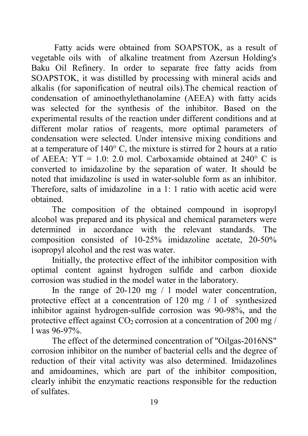Fatty acids were obtained from SOAPSTOK, as a result of vegetable oils with of alkaline treatment from Azersun Holding's Baku Oil Refinery. In order to separate free fatty acids from SOAPSTOK, it was distilled by processing with mineral acids and alkalis (for saponification of neutral oils).The chemical reaction of condensation of aminoethylethanolamine (AEEA) with fatty acids was selected for the synthesis of the inhibitor. Based on the experimental results of the reaction under different conditions and at different molar ratios of reagents, more optimal parameters of condensation were selected. Under intensive mixing conditions and at a temperature of 140° C, the mixture is stirred for 2 hours at a ratio of AEEA:  $YT = 1.0: 2.0$  mol. Carboxamide obtained at  $240^{\circ}$  C is converted to imidazoline by the separation of water. It should be noted that imidazoline is used in water-soluble form as an inhibitor. Therefore, salts of imidazoline in a 1: 1 ratio with acetic acid were obtained.

The composition of the obtained compound in isopropyl alcohol was prepared and its physical and chemical parameters were determined in accordance with the relevant standards. The composition consisted of 10-25% imidazoline acetate, 20-50% isopropyl alcohol and the rest was water.

Initially, the protective effect of the inhibitor composition with optimal content against hydrogen sulfide and carbon dioxide corrosion was studied in the model water in the laboratory.

In the range of 20-120 mg / 1 model water concentration, protective effect at a concentration of 120 mg / l of synthesized inhibitor against hydrogen-sulfide corrosion was 90-98%, and the protective effect against  $CO<sub>2</sub>$  corrosion at a concentration of 200 mg / l was 96-97%.

The effect of the determined concentration of "Oilgas-2016NS" corrosion inhibitor on the number of bacterial cells and the degree of reduction of their vital activity was also determined. Imidazolines and amidoamines, which are part of the inhibitor composition, clearly inhibit the enzymatic reactions responsible for the reduction of sulfates.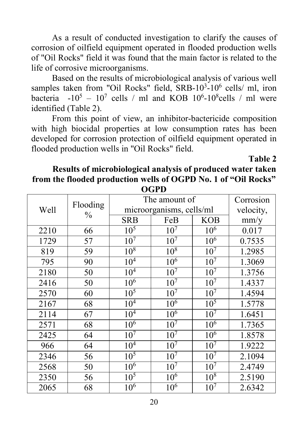As a result of conducted investigation to clarify the causes of corrosion of oilfield equipment operated in flooded production wells of "Oil Rocks" field it was found that the main factor is related to the life of corrosive microorganisms.

Based on the results of microbiological analysis of various well samples taken from "Oil Rocks" field,  $SRB-10^3-10^6$  cells/ ml, iron bacteria  $-10^5 - 10^7$  cells / ml and KOB  $10^6 - 10^8$ cells / ml were identified (Table 2).

From this point of view, an inhibitor-bactericide composition with high biocidal properties at low consumption rates has been developed for corrosion protection of oilfield equipment operated in flooded production wells in "Oil Rocks" field.

**Table 2**

### **Results of microbiological analysis of produced water taken from the flooded production wells of OGPD No. 1 of "Oil Rocks" OGPD**

|      | Flooding<br>$\frac{0}{0}$ | The amount of            | Corrosion       |                 |        |
|------|---------------------------|--------------------------|-----------------|-----------------|--------|
| Well |                           | microorganisms, cells/ml | velocity,       |                 |        |
|      |                           | <b>SRB</b>               | FeB             | <b>KOB</b>      | mm/y   |
| 2210 | 66                        | 10 <sup>5</sup>          | 10 <sup>7</sup> | 10 <sup>6</sup> | 0.017  |
| 1729 | 57                        | 10 <sup>7</sup>          | 10 <sup>7</sup> | 10 <sup>6</sup> | 0.7535 |
| 819  | 59                        | 10 <sup>8</sup>          | 10 <sup>8</sup> | 10 <sup>7</sup> | 1.2985 |
| 795  | 90                        | 10 <sup>4</sup>          | 10 <sup>6</sup> | 10 <sup>7</sup> | 1.3069 |
| 2180 | 50                        | 10 <sup>4</sup>          | 10 <sup>7</sup> | 10 <sup>7</sup> | 1.3756 |
| 2416 | 50                        | 10 <sup>6</sup>          | 10 <sup>7</sup> | 10 <sup>7</sup> | 1.4337 |
| 2570 | 60                        | 10 <sup>5</sup>          | 10 <sup>7</sup> | 10 <sup>7</sup> | 1.4594 |
| 2167 | 68                        | 10 <sup>4</sup>          | 10 <sup>6</sup> | 10 <sup>5</sup> | 1.5778 |
| 2114 | 67                        | $10^{4}$                 | $10^{6}$        | 10 <sup>7</sup> | 1.6451 |
| 2571 | 68                        | $10^{6}$                 | 10 <sup>7</sup> | $10^{6}$        | 1.7365 |
| 2425 | 64                        | 10 <sup>7</sup>          | 10 <sup>7</sup> | $10^{6}$        | 1.8578 |
| 966  | 64                        | $10^{4}$                 | 10 <sup>7</sup> | 10 <sup>7</sup> | 1.9222 |
| 2346 | 56                        | $10^5$                   | 10 <sup>7</sup> | 10 <sup>7</sup> | 2.1094 |
| 2568 | 50                        | $10^{\overline{6}}$      | 10 <sup>7</sup> | 10 <sup>7</sup> | 2.4749 |
| 2350 | 56                        | 10 <sup>5</sup>          | $10^{6}$        | $10^{8}$        | 2.5190 |
| 2065 | 68                        | 10 <sup>6</sup>          | 10 <sup>6</sup> | 10 <sup>7</sup> | 2.6342 |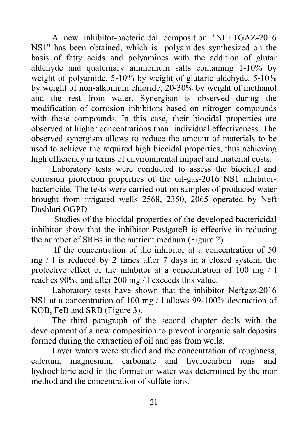A new inhibitor-bactericidal composition "NEFTGAZ-2016 NS1" has been obtained, which is polyamides synthesized on the basis of fatty acids and polyamines with the addition of glutar aldehyde and quaternary ammonium salts containing 1-10% by weight of polyamide, 5-10% by weight of glutaric aldehyde, 5-10% by weight of non-alkonium chloride, 20-30% by weight of methanol and the rest from water. Synergism is observed during the modification of corrosion inhibitors based on nitrogen compounds with these compounds. In this case, their biocidal properties are observed at higher concentrations than individual effectiveness. The observed synergism allows to reduce the amount of materials to be used to achieve the required high biocidal properties, thus achieving high efficiency in terms of environmental impact and material costs.

Laboratory tests were conducted to assess the biocidal and corrosion protection properties of the oil-gas-2016 NS1 inhibitorbactericide. The tests were carried out on samples of produced water brought from irrigated wells 2568, 2350, 2065 operated by Neft Dashlari OGPD.

Studies of the biocidal properties of the developed bactericidal inhibitor show that the inhibitor PostgateB is effective in reducing the number of SRBs in the nutrient medium (Figure 2).

If the concentration of the inhibitor at a concentration of 50 mg / l is reduced by 2 times after 7 days in a closed system, the protective effect of the inhibitor at a concentration of 100 mg / l reaches 90%, and after 200 mg / l exceeds this value.

Laboratory tests have shown that the inhibitor Neftgaz-2016 NS1 at a concentration of 100 mg / l allows 99-100% destruction of KOB, FeB and SRB (Figure 3).

The third paragraph of the second chapter deals with the development of a new composition to prevent inorganic salt deposits formed during the extraction of oil and gas from wells.

Layer waters were studied and the concentration of roughness, calcium, magnesium, carbonate and hydrocarbon ions and hydrochloric acid in the formation water was determined by the mor method and the concentration of sulfate ions.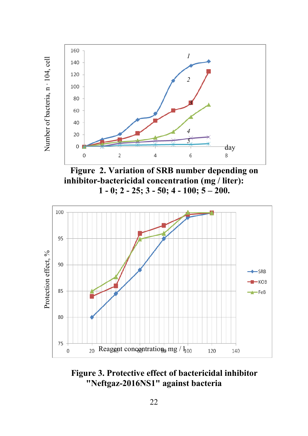

**Figure 2. Variation of SRB number depending on inhibitor-bactericidal concentration (mg / liter): 1 - 0; 2 - 25; 3 - 50; 4 - 100; 5 – 200.**



**Figure 3. Protective effect of bactericidal inhibitor "Neftgaz-2016NS1" against bacteria**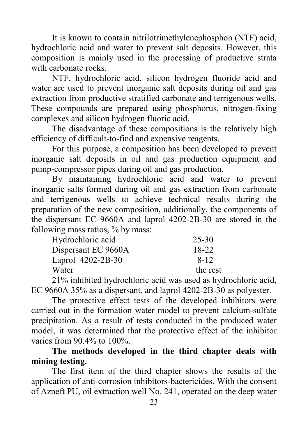It is known to contain nitrilotrimethylenephosphon (NTF) acid, hydrochloric acid and water to prevent salt deposits. However, this composition is mainly used in the processing of productive strata with carbonate rocks.

NTF, hydrochloric acid, silicon hydrogen fluoride acid and water are used to prevent inorganic salt deposits during oil and gas extraction from productive stratified carbonate and terrigenous wells. These compounds are prepared using phosphorus, nitrogen-fixing complexes and silicon hydrogen fluoric acid.

The disadvantage of these compositions is the relatively high efficiency of difficult-to-find and expensive reagents.

For this purpose, a composition has been developed to prevent inorganic salt deposits in oil and gas production equipment and pump-compressor pipes during oil and gas production.

By maintaining hydrochloric acid and water to prevent inorganic salts formed during oil and gas extraction from carbonate and terrigenous wells to achieve technical results during the preparation of the new composition, additionally, the components of the dispersant EC 9660A and laprol 4202-2B-30 are stored in the following mass ratios, % by mass:

| Hydrochloric acid   | 25-30    |
|---------------------|----------|
| Dispersant EC 9660A | 18-22    |
| Laprol 4202-2B-30   | 8-12     |
| Water               | the rest |

21% inhibited hydrochloric acid was used as hydrochloric acid, EC 9660A 35% as a dispersant, and laprol 4202-2B-30 as polyester.

The protective effect tests of the developed inhibitors were carried out in the formation water model to prevent calcium-sulfate precipitation. As a result of tests conducted in the produced water model, it was determined that the protective effect of the inhibitor varies from 90.4% to 100%.

**The methods developed in the third chapter deals with mining testing.**

The first item of the third chapter shows the results of the application of anti-corrosion inhibitors-bactericides. With the consent of Azneft PU, oil extraction well No. 241, operated on the deep water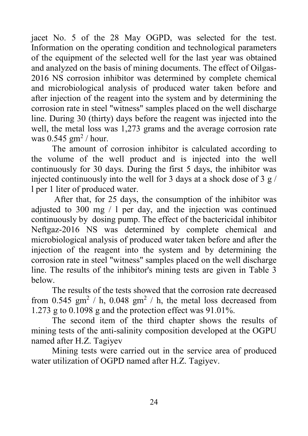jacet No. 5 of the 28 May OGPD, was selected for the test. Information on the operating condition and technological parameters of the equipment of the selected well for the last year was obtained and analyzed on the basis of mining documents. The effect of Oilgas-2016 NS corrosion inhibitor was determined by complete chemical and microbiological analysis of produced water taken before and after injection of the reagent into the system and by determining the corrosion rate in steel "witness" samples placed on the well discharge line. During 30 (thirty) days before the reagent was injected into the well, the metal loss was 1,273 grams and the average corrosion rate was  $0.545$  gm<sup>2</sup> / hour.

The amount of corrosion inhibitor is calculated according to the volume of the well product and is injected into the well continuously for 30 days. During the first 5 days, the inhibitor was injected continuously into the well for 3 days at a shock dose of 3  $g/$ l per 1 liter of produced water.

After that, for 25 days, the consumption of the inhibitor was adjusted to 300 mg / l per day, and the injection was continued continuously by dosing pump. The effect of the bactericidal inhibitor Neftgaz-2016 NS was determined by complete chemical and microbiological analysis of produced water taken before and after the injection of the reagent into the system and by determining the corrosion rate in steel "witness" samples placed on the well discharge line. The results of the inhibitor's mining tests are given in Table 3 below.

The results of the tests showed that the corrosion rate decreased from 0.545 gm<sup>2</sup> / h, 0.048 gm<sup>2</sup> / h, the metal loss decreased from 1.273 g to 0.1098 g and the protection effect was 91.01%.

The second item of the third chapter shows the results of mining tests of the anti-salinity composition developed at the OGPU named after H.Z. Tagiyev

Mining tests were carried out in the service area of produced water utilization of OGPD named after H.Z. Tagiyev.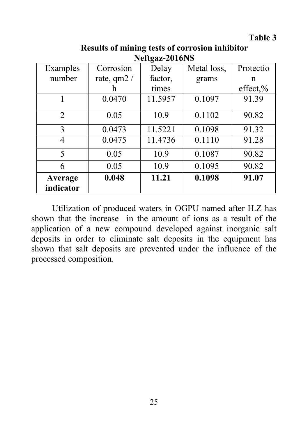**Table 3**

| Neftgaz-2016NS       |              |         |             |           |  |
|----------------------|--------------|---------|-------------|-----------|--|
| Examples             | Corrosion    | Delay   | Metal loss, | Protectio |  |
| number               | rate, $qm2/$ | factor, | grams       | n         |  |
|                      | h            | times   |             | effect,%  |  |
| 1                    | 0.0470       | 11.5957 | 0.1097      | 91.39     |  |
| $\overline{2}$       | 0.05         | 10.9    | 0.1102      | 90.82     |  |
| 3                    | 0.0473       | 11.5221 | 0.1098      | 91.32     |  |
| 4                    | 0.0475       | 11.4736 | 0.1110      | 91.28     |  |
| 5                    | 0.05         | 10.9    | 0.1087      | 90.82     |  |
| 6                    | 0.05         | 10.9    | 0.1095      | 90.82     |  |
| Average<br>indicator | 0.048        | 11.21   | 0.1098      | 91.07     |  |

**Results of mining tests of corrosion inhibitor** 

Utilization of produced waters in OGPU named after H.Z has shown that the increase in the amount of ions as a result of the application of a new compound developed against inorganic salt deposits in order to eliminate salt deposits in the equipment has shown that salt deposits are prevented under the influence of the processed composition.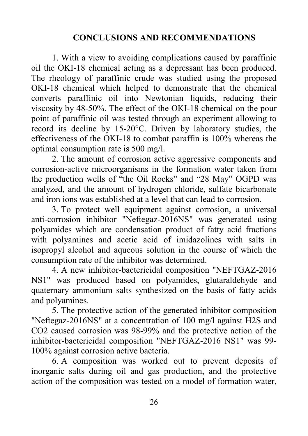## **CONCLUSIONS AND RECOMMENDATIONS**

1. With a view to avoiding complications caused by paraffinic oil the OKI-18 chemical acting as a depressant has been produced. The rheology of paraffinic crude was studied using the proposed OKI-18 chemical which helped to demonstrate that the chemical converts paraffinic oil into Newtonian liquids, reducing their viscosity by 48-50%. The effect of the OKI-18 chemical on the pour point of paraffinic oil was tested through an experiment allowing to record its decline by 15-20°C. Driven by laboratory studies, the effectiveness of the OKI-18 to combat paraffin is 100% whereas the optimal consumption rate is 500 mg/l.

2. The amount of corrosion active aggressive components and corrosion-active microorganisms in the formation water taken from the production wells of "the Oil Rocks" and "28 May" OGPD was analyzed, and the amount of hydrogen chloride, sulfate bicarbonate and iron ions was established at a level that can lead to corrosion.

3. To protect well equipment against corrosion, a universal anti-corrosion inhibitor "Neftegaz-2016NS" was generated using polyamides which are condensation product of fatty acid fractions with polyamines and acetic acid of imidazolines with salts in isopropyl alcohol and aqueous solution in the course of which the consumption rate of the inhibitor was determined.

4. A new inhibitor-bactericidal composition "NEFTGAZ-2016 NS1" was produced based on polyamides, glutaraldehyde and quaternary ammonium salts synthesized on the basis of fatty acids and polyamines.

5. The protective action of the generated inhibitor composition "Neftegaz-2016NS" at a concentration of 100 mg/l against H2S and CO2 caused corrosion was 98-99% and the protective action of the inhibitor-bactericidal composition "NEFTGAZ-2016 NS1" was 99- 100% against corrosion active bacteria.

6. A composition was worked out to prevent deposits of inorganic salts during oil and gas production, and the protective action of the composition was tested on a model of formation water,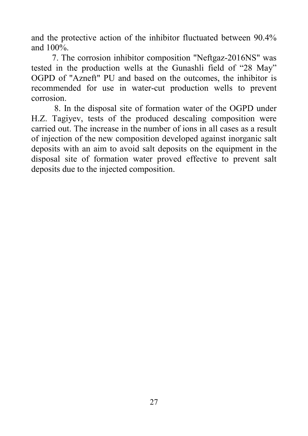and the protective action of the inhibitor fluctuated between 90.4% and 100%.

7. The corrosion inhibitor composition "Neftgaz-2016NS" was tested in the production wells at the Gunashli field of "28 May" OGPD of "Azneft" PU and based on the outcomes, the inhibitor is recommended for use in water-cut production wells to prevent corrosion.

8. In the disposal site of formation water of the OGPD under H.Z. Tagiyev, tests of the produced descaling composition were carried out. The increase in the number of ions in all cases as a result of injection of the new composition developed against inorganic salt deposits with an aim to avoid salt deposits on the equipment in the disposal site of formation water proved effective to prevent salt deposits due to the injected composition.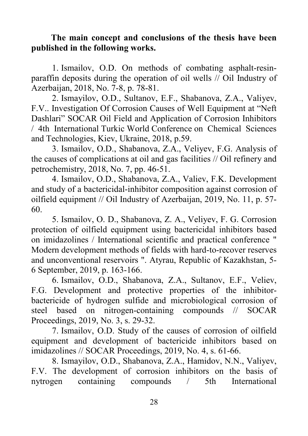### **The main concept and conclusions of the thesis have been published in the following works.**

1. Ismailov, O.D. On methods of combating asphalt-resinparaffin deposits during the operation of oil wells // Oil Industry of Azerbaijan, 2018, No. 7-8, p. 78-81.

2. Ismayilov, O.D., Sultanov, E.F., Shabanova, Z.A., Valiyev, F.V.. Investigation Of Corrosion Causes of Well Equipment at "Neft Dashlari" SOCAR Oil Field and Application of Corrosion Inhibitors / 4th International Turkic World Conference on Chemical Sciences and Technologies, Kiev, Ukraine, 2018, p.59.

3. Ismailov, O.D., Shabanova, Z.A., Veliyev, F.G. Analysis of the causes of complications at oil and gas facilities // Oil refinery and petrochemistry, 2018, No. 7, pp. 46-51.

4. Ismailov, O.D., Shabanova, Z.A., Valiev, F.K. Development and study of a bactericidal-inhibitor composition against corrosion of oilfield equipment // Oil Industry of Azerbaijan, 2019, No. 11, p. 57- 60.

5. Ismailov, O. D., Shabanova, Z. A., Veliyev, F. G. Corrosion protection of oilfield equipment using bactericidal inhibitors based on imidazolines / International scientific and practical conference " Modern development methods of fields with hard-to-recover reserves and unconventional reservoirs ". Atyrau, Republic of Kazakhstan, 5- 6 September, 2019, p. 163-166.

6. Ismailov, O.D., Shabanova, Z.A., Sultanov, E.F., Veliev, F.G. Development and protective properties of the inhibitorbactericide of hydrogen sulfide and microbiological corrosion of steel based on nitrogen-containing compounds // SOCAR Proceedings, 2019, No. 3, s. 29-32.

7. Ismailov, O.D. Study of the causes of corrosion of oilfield equipment and development of bactericide inhibitors based on imidazolines // SOCAR Proceedings, 2019, No. 4, s. 61-66.

8. Ismayilov, O.D., Shabanova, Z.A., Hamidov, N.N., Valiyev, F.V. The development of corrosion inhibitors on the basis of nytrogen containing compounds / 5th International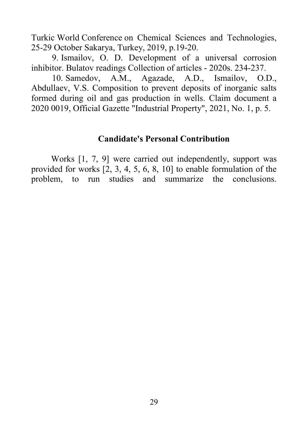Turkic World Conference on Chemical Sciences and Technologies, 25-29 October Sakarya, Turkey, 2019, p.19-20.

9. Ismailov, O. D. Development of a universal corrosion inhibitor. Bulatov readings Collection of articles - 2020s. 234-237.

10. Samedov, A.M., Agazade, A.D., Ismailov, O.D., Abdullaev, V.S. Composition to prevent deposits of inorganic salts formed during oil and gas production in wells. Claim document a 2020 0019, Official Gazette "Industrial Property", 2021, No. 1, p. 5.

#### **Candidate's Personal Contribution**

Works [1, 7, 9] were carried out independently, support was provided for works [2, 3, 4, 5, 6, 8, 10] to enable formulation of the problem, to run studies and summarize the conclusions.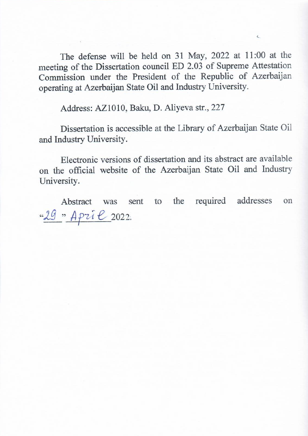The defense will be held on 31 May, 2022 at 11:00 at the meeting of the Dissertation council ED 2.03 of Supreme Attestation Commission under the President of the Republic of Azerbaijan operating at Azerbaijan State Oil and Industry University.

Ł

Address: AZ1010, Baku, D. Aliyeva str., 227

Dissertation is accessible at the Library of Azerbaijan State Oil and Industry University.

Electronic versions of dissertation and its abstract are available on the official website of the Azerbaijan State Oil and Industry University.

Abstract was sent to the required addresses on "29 " April 2022.